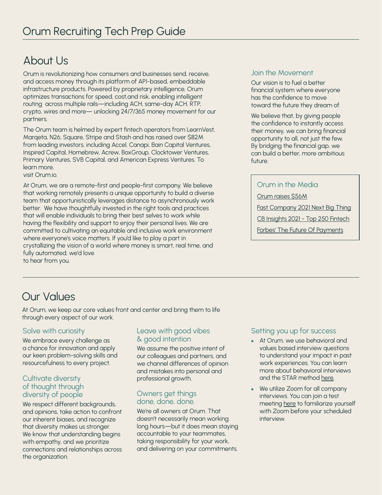# About Us

Orum is revolutionizing how consumers and businesses send, receive, and access money through its platform of API-based, embeddable infrastructure products. Powered by proprietary intelligence, Orum optimizes transactions for speed, cost,and risk, enabling intelligent routing across multiple rails—including ACH, same-day ACH, RTP, crypto, wires and more— unlocking 24/7/365 money movement for our partners.

The Orum team is helmed by expert fintech operators from LearnVest, Marqeta, N26, Square, Stripe and Stash and has raised over \$82M from leading investors, including Accel, Canapi, Bain Capital Ventures, Inspired Capital, Homebrew, Acrew, BoxGroup, Clocktower Ventures, Primary Ventures, SVB Capital, and American Express Ventures. To learn more,

visit Orum.io.

At Orum, we are a remote-first and people-first company. We believe that working remotely presents a unique opportunity to build a diverse team that opportunistically leverages distance to asynchronously work better. We have thoughtfully invested in the right tools and practices that will enable individuals to bring their best selves to work while having the flexibility and support to enjoy their personal lives. We are committed to cultivating an equitable and inclusive work environment where everyone's voice matters. If you'd like to play a part in crystallizing the vision of a world where money is smart, real time, and fully automated, we'd love to hear from you.

#### Join the Movement

Our vision is to fuel a better financial system where everyone has the confidence to move toward the future they dream of.

We believe that, by giving people the confidence to instantly access their money, we can bring financial opportunity to all, not just the few. By bridging the financial gap, we can build a better, more ambitious  $f$ utur $\alpha$ 

### Orum in the Media

[Orum raises \\$56M](https://techcrunch.com/2021/06/29/orum-raises-56m/)

[Fast Company 2021 Next Big Thing](https://www.fastcompany.com/next-big-things-in-tech)

[CB Insights 2021 - Top 250 Fintech](https://www.cbinsights.com/research/report/fintech-250-startups-most-promising/)

[Forbes' The Future Of Payments](https://www.forbes.com/sites/jeffkauflin/2021/06/08/the-future-of-payments-fintech-50-2021/?sh=6c39cda07585)

# Our Values

At Orum, we keep our core values front and center and bring them to life through every aspect of our work.

# Solve with curiosity

We embrace every challenge as a chance for innovation and apply our keen problem-solving skills and resourcefulness to every project.

#### Cultivate diversity of thought through diversity of people

We respect different backgrounds, and opinions, take action to confront our inherent biases, and recognize that diversity makes us stronger. We know that understanding begins with empathy, and we prioritize connections and relationships across the organization.

### Leave with good vibes & good intention

We assume the positive intent of our colleagues and partners, and we channel differences of opinion and mistakes into personal and professional growth.

# Owners get things done, done, done.

We're all owners at Orum. That doesn't necessarily mean working long hours—but it does mean staying accountable to your teammates, taking responsibility for your work, and delivering on your commitments.

# Setting you up for success

- At Orum, we use behavioral and values based interview questions to understand your impact in past work experiences. You can learn more about behavioral interviews and the STAR method [here.](https://www.themuse.com/advice/star-interview-method)
- We utilize Zoom for all company interviews. You can join a test meeting [here](https://support.zoom.us/hc/en-us/articles/115002262083-Joining-a-Test-Meeting) to familiarize yourself with Zoom before your scheduled interview.